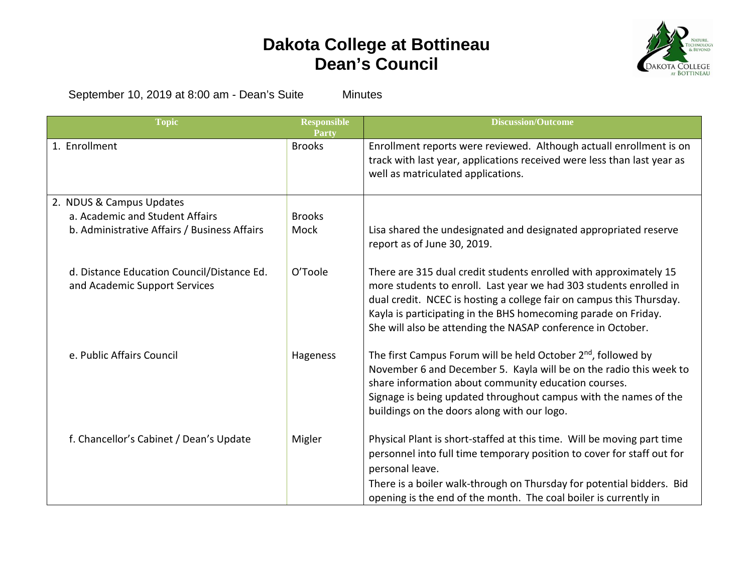## **Dakota College at Bottineau Dean's Council**



September 10, 2019 at 8:00 am - Dean's Suite Minutes

| <b>Topic</b>                                                                | <b>Responsible</b><br>Partv | <b>Discussion/Outcome</b>                                                                                                                                                                                                                                                                                                                        |
|-----------------------------------------------------------------------------|-----------------------------|--------------------------------------------------------------------------------------------------------------------------------------------------------------------------------------------------------------------------------------------------------------------------------------------------------------------------------------------------|
| 1. Enrollment                                                               | <b>Brooks</b>               | Enrollment reports were reviewed. Although actuall enrollment is on<br>track with last year, applications received were less than last year as<br>well as matriculated applications.                                                                                                                                                             |
| 2. NDUS & Campus Updates                                                    |                             |                                                                                                                                                                                                                                                                                                                                                  |
| a. Academic and Student Affairs                                             | <b>Brooks</b>               |                                                                                                                                                                                                                                                                                                                                                  |
| b. Administrative Affairs / Business Affairs                                | <b>Mock</b>                 | Lisa shared the undesignated and designated appropriated reserve<br>report as of June 30, 2019.                                                                                                                                                                                                                                                  |
| d. Distance Education Council/Distance Ed.<br>and Academic Support Services | O'Toole                     | There are 315 dual credit students enrolled with approximately 15<br>more students to enroll. Last year we had 303 students enrolled in<br>dual credit. NCEC is hosting a college fair on campus this Thursday.<br>Kayla is participating in the BHS homecoming parade on Friday.<br>She will also be attending the NASAP conference in October. |
| e. Public Affairs Council                                                   | Hageness                    | The first Campus Forum will be held October 2 <sup>nd</sup> , followed by<br>November 6 and December 5. Kayla will be on the radio this week to<br>share information about community education courses.<br>Signage is being updated throughout campus with the names of the<br>buildings on the doors along with our logo.                       |
| f. Chancellor's Cabinet / Dean's Update                                     | Migler                      | Physical Plant is short-staffed at this time. Will be moving part time<br>personnel into full time temporary position to cover for staff out for<br>personal leave.<br>There is a boiler walk-through on Thursday for potential bidders. Bid<br>opening is the end of the month. The coal boiler is currently in                                 |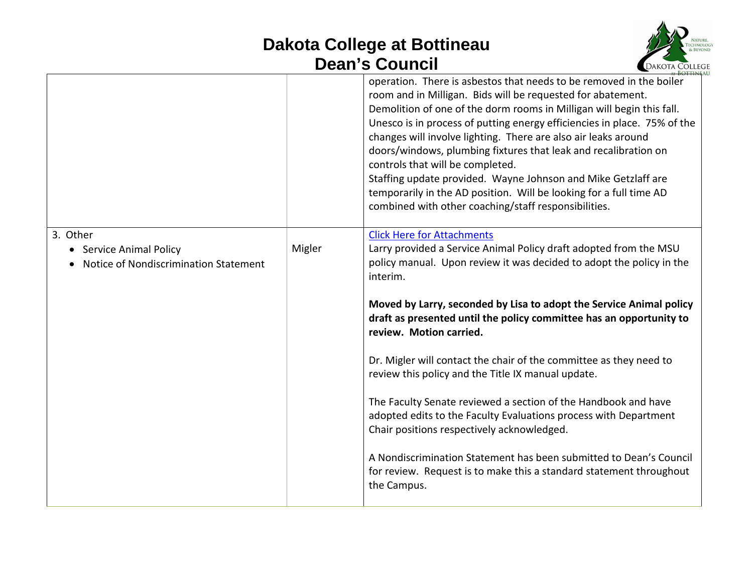## **Dakota College at Bottineau Dean's Council**



| operation. There is asbestos that needs to be removed in the boiler<br>room and in Milligan. Bids will be requested for abatement.<br>Demolition of one of the dorm rooms in Milligan will begin this fall.<br>Unesco is in process of putting energy efficiencies in place. 75% of the<br>changes will involve lighting. There are also air leaks around<br>doors/windows, plumbing fixtures that leak and recalibration on<br>controls that will be completed.<br>Staffing update provided. Wayne Johnson and Mike Getzlaff are<br>temporarily in the AD position. Will be looking for a full time AD<br>combined with other coaching/staff responsibilities. |
|-----------------------------------------------------------------------------------------------------------------------------------------------------------------------------------------------------------------------------------------------------------------------------------------------------------------------------------------------------------------------------------------------------------------------------------------------------------------------------------------------------------------------------------------------------------------------------------------------------------------------------------------------------------------|
| <b>Click Here for Attachments</b>                                                                                                                                                                                                                                                                                                                                                                                                                                                                                                                                                                                                                               |
| Larry provided a Service Animal Policy draft adopted from the MSU                                                                                                                                                                                                                                                                                                                                                                                                                                                                                                                                                                                               |
| policy manual. Upon review it was decided to adopt the policy in the<br>interim.                                                                                                                                                                                                                                                                                                                                                                                                                                                                                                                                                                                |
| Moved by Larry, seconded by Lisa to adopt the Service Animal policy<br>draft as presented until the policy committee has an opportunity to<br>review. Motion carried.                                                                                                                                                                                                                                                                                                                                                                                                                                                                                           |
| Dr. Migler will contact the chair of the committee as they need to<br>review this policy and the Title IX manual update.                                                                                                                                                                                                                                                                                                                                                                                                                                                                                                                                        |
| The Faculty Senate reviewed a section of the Handbook and have<br>adopted edits to the Faculty Evaluations process with Department<br>Chair positions respectively acknowledged.                                                                                                                                                                                                                                                                                                                                                                                                                                                                                |
| A Nondiscrimination Statement has been submitted to Dean's Council<br>for review. Request is to make this a standard statement throughout<br>the Campus.                                                                                                                                                                                                                                                                                                                                                                                                                                                                                                        |
| Migler                                                                                                                                                                                                                                                                                                                                                                                                                                                                                                                                                                                                                                                          |